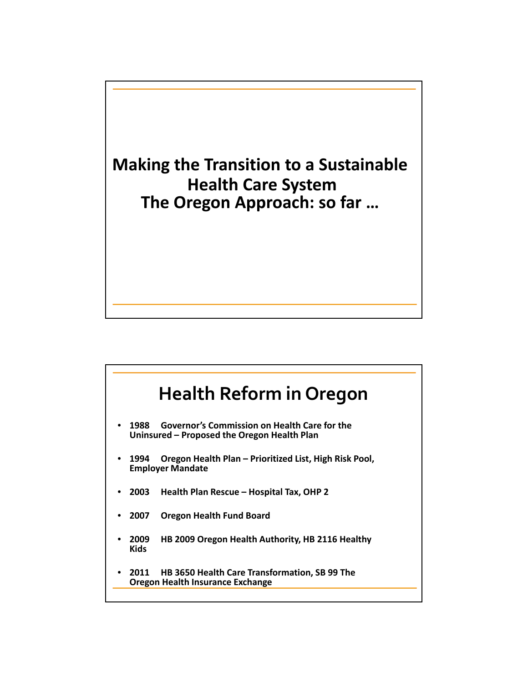

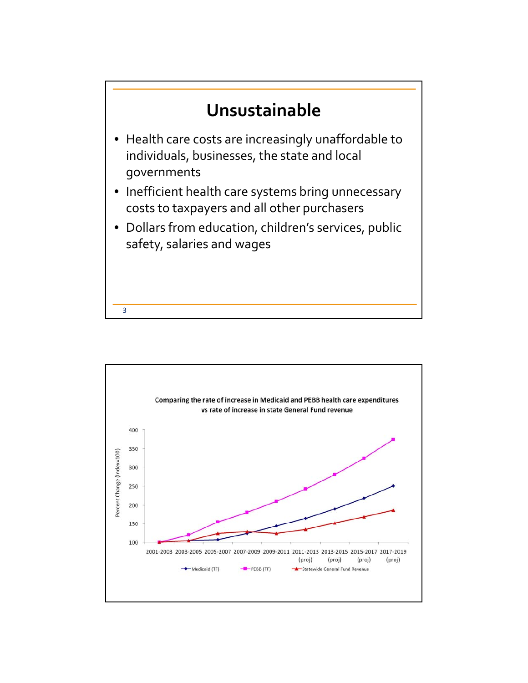

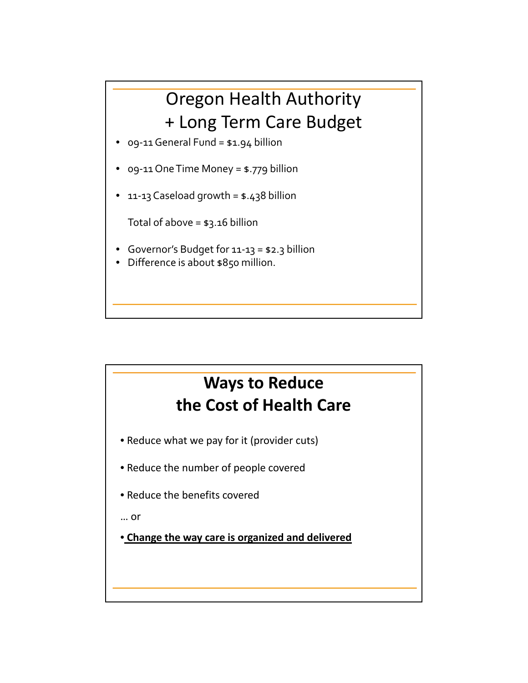## Oregon Health Authority + Long Term Care Budget

- 09-11 General Fund = \$1.94 billion
- 09-11 One Time Money = \$.779 billion
- 11-13 Caseload growth = \$.438 billion

Total of above = \$3.16 billion

- Governor's Budget for 11-13 = \$2.3 billion
- Difference is about \$850 million.

## **Ways to Reduce the Cost of Health Care**

- Reduce what we pay for it (provider cuts)
- Reduce the number of people covered
- Reduce the benefits covered

… or

• **Change the way care is organized and delivered**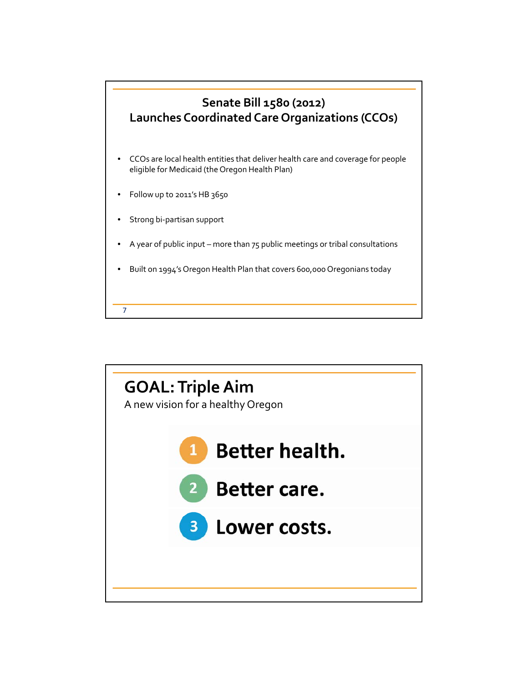

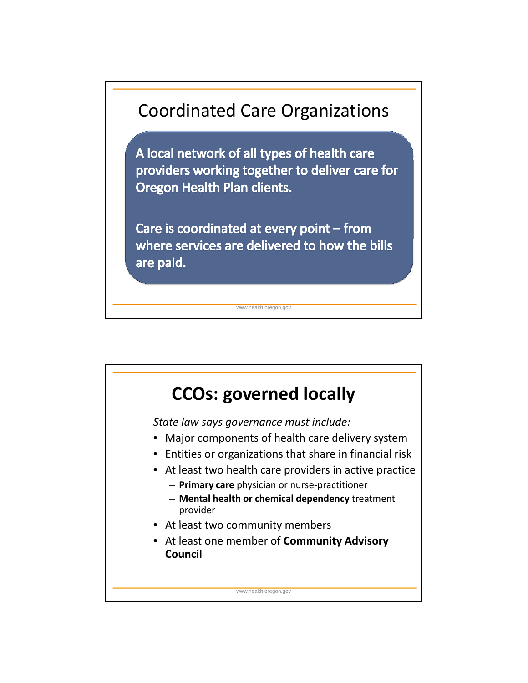

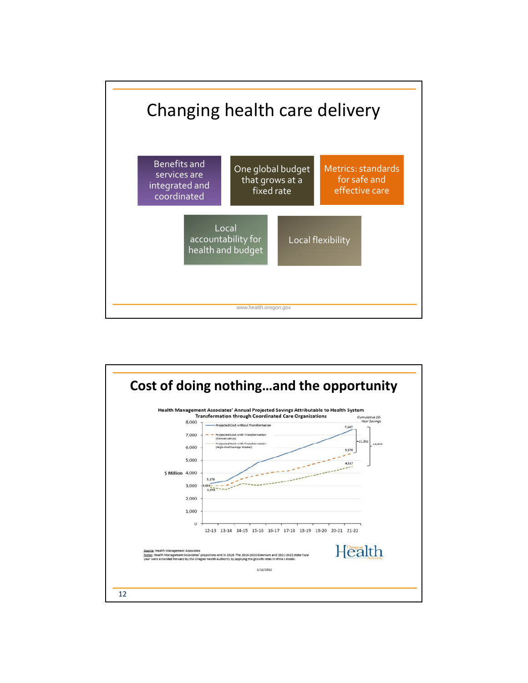

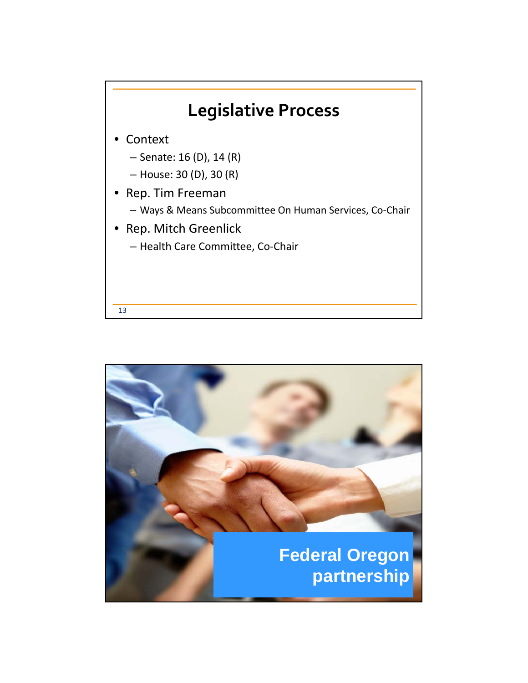

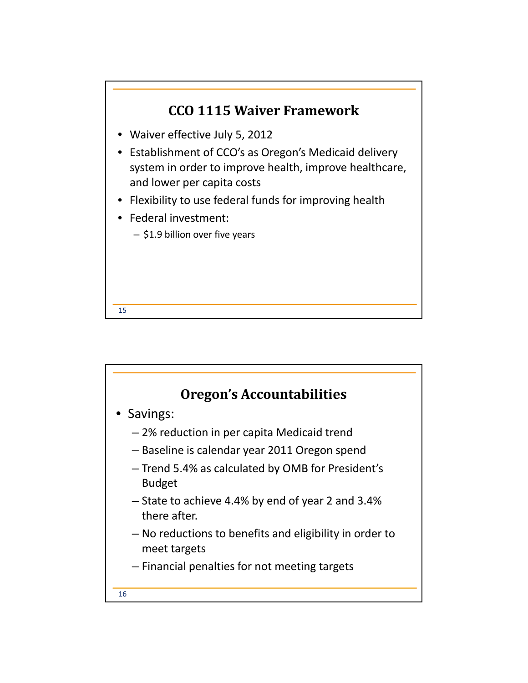

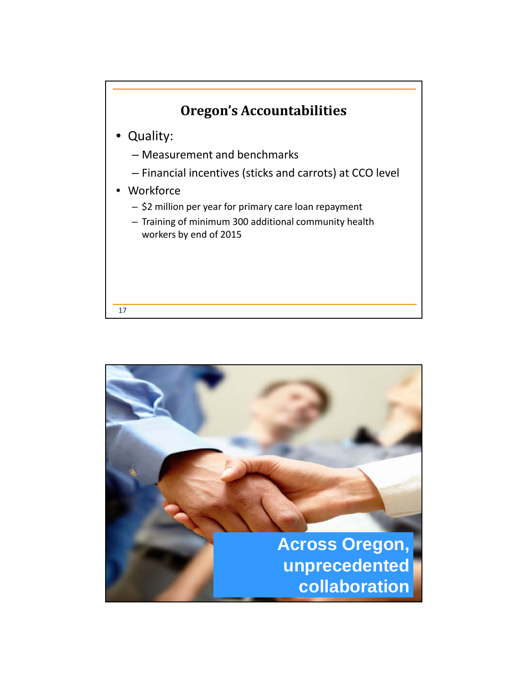